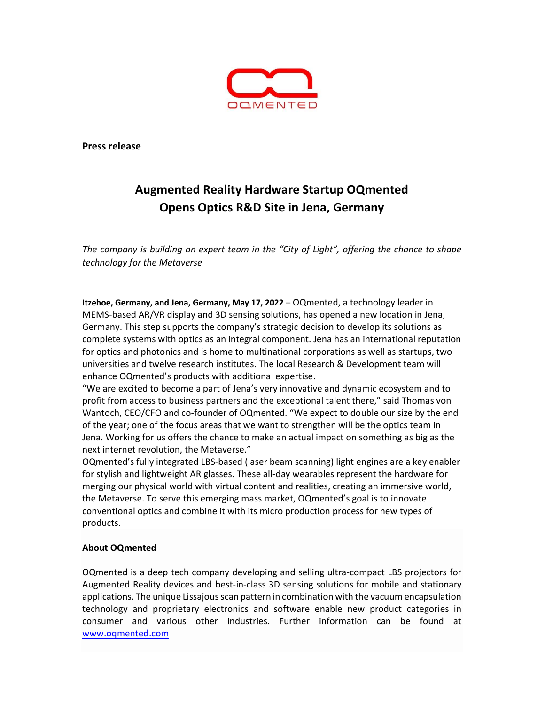

Press release

## Augmented Reality Hardware Startup OQmented Opens Optics R&D Site in Jena, Germany

The company is building an expert team in the "City of Light", offering the chance to shape technology for the Metaverse

Itzehoe, Germany, and Jena, Germany, May 17, 2022 – OQmented, a technology leader in MEMS-based AR/VR display and 3D sensing solutions, has opened a new location in Jena, Germany. This step supports the company's strategic decision to develop its solutions as complete systems with optics as an integral component. Jena has an international reputation for optics and photonics and is home to multinational corporations as well as startups, two universities and twelve research institutes. The local Research & Development team will enhance OQmented's products with additional expertise.

"We are excited to become a part of Jena's very innovative and dynamic ecosystem and to profit from access to business partners and the exceptional talent there," said Thomas von Wantoch, CEO/CFO and co-founder of OQmented. "We expect to double our size by the end of the year; one of the focus areas that we want to strengthen will be the optics team in Jena. Working for us offers the chance to make an actual impact on something as big as the next internet revolution, the Metaverse."

OQmented's fully integrated LBS-based (laser beam scanning) light engines are a key enabler for stylish and lightweight AR glasses. These all-day wearables represent the hardware for merging our physical world with virtual content and realities, creating an immersive world, the Metaverse. To serve this emerging mass market, OQmented's goal is to innovate conventional optics and combine it with its micro production process for new types of products.

## About OQmented

OQmented is a deep tech company developing and selling ultra-compact LBS projectors for Augmented Reality devices and best-in-class 3D sensing solutions for mobile and stationary applications. The unique Lissajous scan pattern in combination with the vacuum encapsulation technology and proprietary electronics and software enable new product categories in consumer and various other industries. Further information can be found at www.oqmented.com